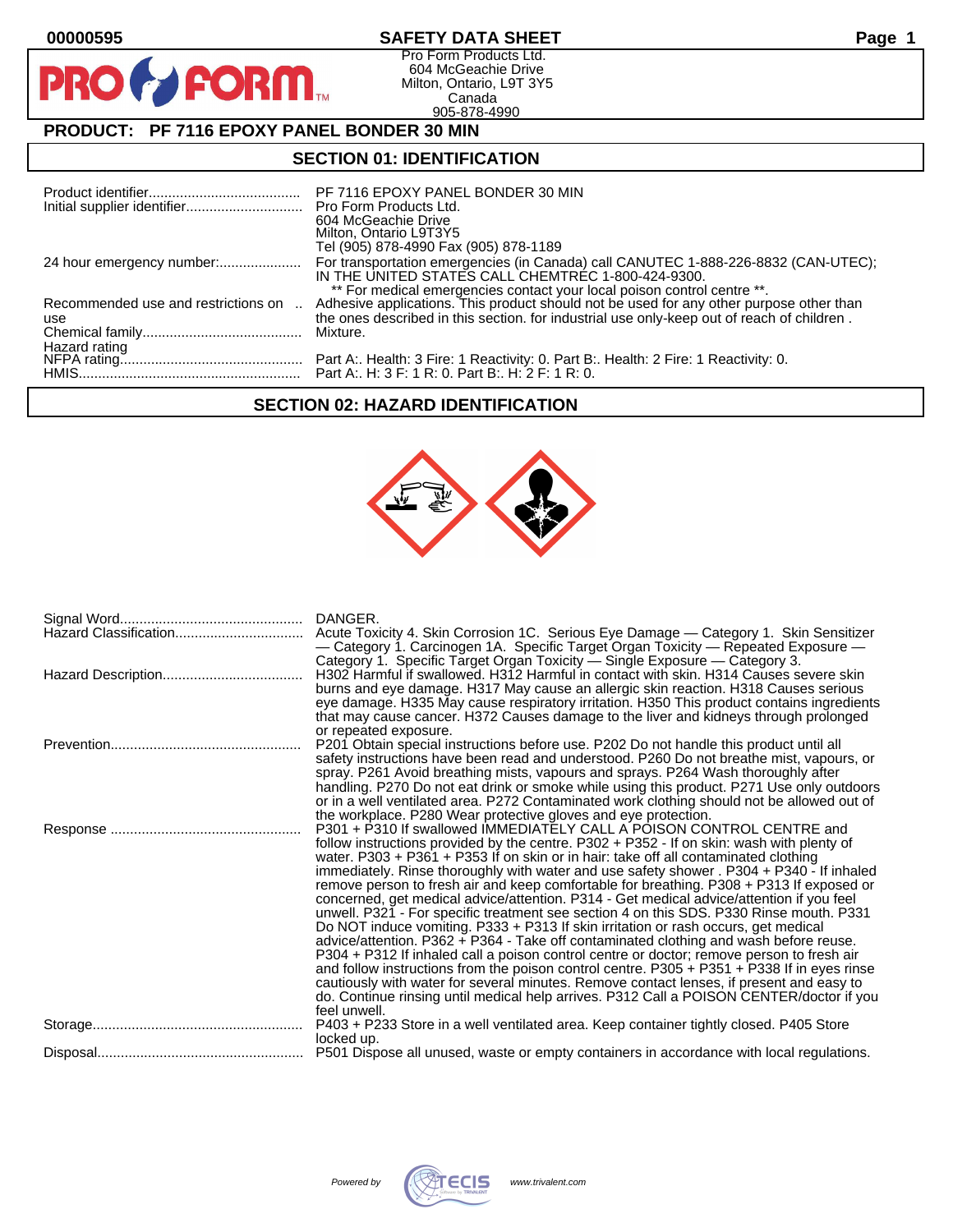$\mathbf O$ 

PR

# **00000595 SAFETY DATA SHEET Page 1**

Pro Form Products Ltd. 604 McGeachie Drive Milton, Ontario, L9T 3Y5 Canada 905-878-4990

# **PRODUCT: PF 7116 EPOXY PANEL BONDER 30 MIN**

**FORM** 

## **SECTION 01: IDENTIFICATION**

|                                     | PF 7116 EPOXY PANEL BONDER 30 MIN<br>604 McGeachie Drive<br>Milton, Ontario L9T3Y5<br>Tel (905) 878-4990 Fax (905) 878-1189                                                                                                                                      |
|-------------------------------------|------------------------------------------------------------------------------------------------------------------------------------------------------------------------------------------------------------------------------------------------------------------|
| 24 hour emergency number:           | For transportation emergencies (in Canada) call CANUTEC 1-888-226-8832 (CAN-UTEC);<br>IN THE UNITED STATES CALL CHEMTREC 1-800-424-9300.                                                                                                                         |
| Recommended use and restrictions on | ** For medical emergencies contact your local poison control centre **.<br>Adhesive applications. This product should not be used for any other purpose other than<br>the ones described in this section, for industrial use only-keep out of reach of children. |
| use                                 | Mixture.                                                                                                                                                                                                                                                         |
| Hazard rating                       | Part A:. H: 3 F: 1 R: 0. Part B:. H: 2 F: 1 R: 0.                                                                                                                                                                                                                |

# **SECTION 02: HAZARD IDENTIFICATION**



| Hazard Classification | DANGER.<br>Acute Toxicity 4. Skin Corrosion 1C. Serious Eye Damage — Category 1. Skin Sensitizer<br>— Category 1. Carcinogen 1A. Specific Target Organ Toxicity — Repeated Exposure —<br>Category 1. Specific Target Organ Toxicity — Single Exposure — Category 3.<br>H302 Harmful if swallowed. H312 Harmful in contact with skin. H314 Causes severe skin<br>burns and eye damage. H317 May cause an allergic skin reaction. H318 Causes serious<br>eye damage. H335 May cause respiratory irritation. H350 This product contains ingredients<br>that may cause cancer. H372 Causes damage to the liver and kidneys through prolonged                                                                                                                                                                                                                                                                                                                                                                                                                                                                                                                                                                                                                                                       |
|-----------------------|------------------------------------------------------------------------------------------------------------------------------------------------------------------------------------------------------------------------------------------------------------------------------------------------------------------------------------------------------------------------------------------------------------------------------------------------------------------------------------------------------------------------------------------------------------------------------------------------------------------------------------------------------------------------------------------------------------------------------------------------------------------------------------------------------------------------------------------------------------------------------------------------------------------------------------------------------------------------------------------------------------------------------------------------------------------------------------------------------------------------------------------------------------------------------------------------------------------------------------------------------------------------------------------------|
|                       | or repeated exposure.<br>P201 Obtain special instructions before use. P202 Do not handle this product until all<br>safety instructions have been read and understood. P260 Do not breathe mist, vapours, or<br>spray. P261 Avoid breathing mists, vapours and sprays. P264 Wash thoroughly after<br>handling. P270 Do not eat drink or smoke while using this product. P271 Use only outdoors<br>or in a well ventilated area. P272 Contaminated work clothing should not be allowed out of                                                                                                                                                                                                                                                                                                                                                                                                                                                                                                                                                                                                                                                                                                                                                                                                    |
|                       | the workplace. P280 Wear protective gloves and eye protection.<br>P301 + P310 If swallowed IMMEDIATELY CALL A POISON CONTROL CENTRE and<br>follow instructions provided by the centre. P302 + P352 - If on skin: wash with plenty of<br>water. P303 + P361 + P353 If on skin or in hair: take off all contaminated clothing<br>immediately. Rinse thoroughly with water and use safety shower . P304 + P340 - If inhaled<br>remove person to fresh air and keep comfortable for breathing. P308 + P313 If exposed or<br>concerned, get medical advice/attention. P314 - Get medical advice/attention if you feel<br>unwell. P321 - For specific treatment see section 4 on this SDS. P330 Rinse mouth. P331<br>Do NOT induce vomiting. P333 + P313 If skin irritation or rash occurs, get medical<br>advice/attention. P362 + P364 - Take off contaminated clothing and wash before reuse.<br>P304 + P312 If inhaled call a poison control centre or doctor; remove person to fresh air<br>and follow instructions from the poison control centre. P305 + P351 + P338 If in eyes rinse<br>cautiously with water for several minutes. Remove contact lenses, if present and easy to<br>do. Continue rinsing until medical help arrives. P312 Call a POISON CENTER/doctor if you<br>feel unwell. |
|                       | P403 + P233 Store in a well ventilated area. Keep container tightly closed. P405 Store<br>locked up.                                                                                                                                                                                                                                                                                                                                                                                                                                                                                                                                                                                                                                                                                                                                                                                                                                                                                                                                                                                                                                                                                                                                                                                           |
|                       |                                                                                                                                                                                                                                                                                                                                                                                                                                                                                                                                                                                                                                                                                                                                                                                                                                                                                                                                                                                                                                                                                                                                                                                                                                                                                                |

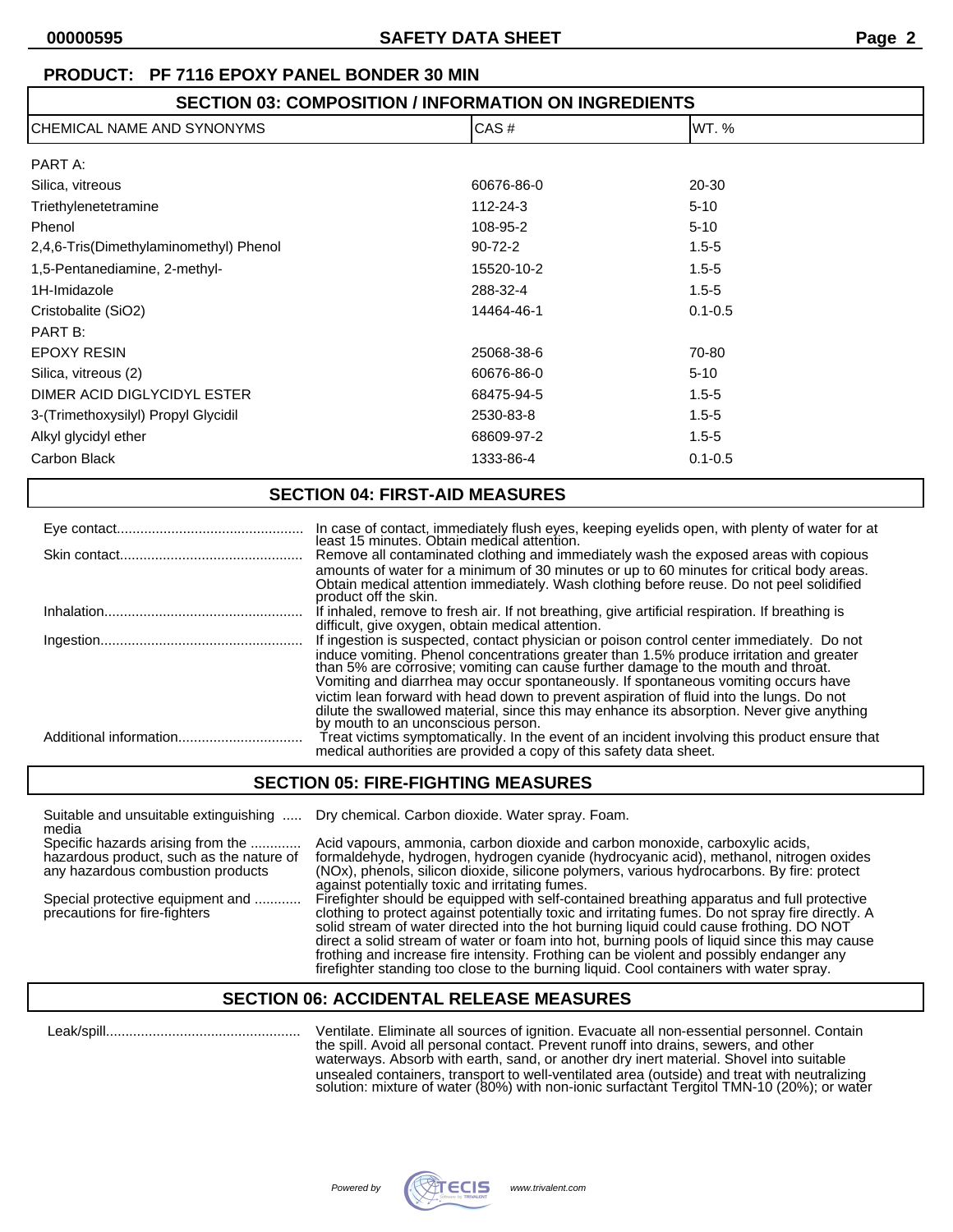# **PRODUCT: PF 7116 EPOXY PANEL BONDER 30 MIN**

# **SECTION 03: COMPOSITION / INFORMATION ON INGREDIENTS** CHEMICAL NAME AND SYNONYMS CAS # WT. % PART A: Silica, vitreous 60676-86-0 20-30 Triethylenetetramine 112-24-3 5-10 Phenol 3108-95-2 5-10 2,4,6-Tris(Dimethylaminomethyl) Phenol 90-72-2 1.5-5 1,5-Pentanediamine, 2-methyl- 15520-10-2 1.5-5 1H-Imidazole 288-32-4 1.5-5 Cristobalite (SiO2) 14464-46-1 0.1-0.5 PART B: EPOXY RESIN 25068-38-6 70-80 Silica, vitreous (2) 60676-86-0 60676-86-0 5-10 DIMER ACID DIGLYCIDYL ESTER 68475-94-5 68475-94-5 1.5-5 3-(Trimethoxysilyl) Propyl Glycidil 2530-83-8 1.5-5 Alkyl glycidyl ether **68609-97-2** 68609-97-2 1.5-5

#### **SECTION 04: FIRST-AID MEASURES**

Carbon Black 1333-86-4 0.1-0.5

| In case of contact, immediately flush eyes, keeping eyelids open, with plenty of water for at<br>least 15 minutes. Obtain medical attention.                                                                                                                                                                                                                                                                                                                                                                                                                                                   |
|------------------------------------------------------------------------------------------------------------------------------------------------------------------------------------------------------------------------------------------------------------------------------------------------------------------------------------------------------------------------------------------------------------------------------------------------------------------------------------------------------------------------------------------------------------------------------------------------|
| Remove all contaminated clothing and immediately wash the exposed areas with copious<br>amounts of water for a minimum of 30 minutes or up to 60 minutes for critical body areas.<br>Obtain medical attention immediately. Wash clothing before reuse. Do not peel solidified<br>product off the skin.                                                                                                                                                                                                                                                                                         |
| If inhaled, remove to fresh air. If not breathing, give artificial respiration. If breathing is<br>difficult, give oxygen, obtain medical attention.                                                                                                                                                                                                                                                                                                                                                                                                                                           |
| If ingestion is suspected, contact physician or poison control center immediately. Do not<br>induce vomiting. Phenol concentrations greater than 1.5% produce irritation and greater<br>than 5% are corrosive; vomiting can cause further damage to the mouth and throat.<br>Vomiting and diarrhea may occur spontaneously. If spontaneous vomiting occurs have<br>victim lean forward with head down to prevent aspiration of fluid into the lungs. Do not<br>dilute the swallowed material, since this may enhance its absorption. Never give anything<br>by mouth to an unconscious person. |
| Treat victims symptomatically. In the event of an incident involving this product ensure that<br>medical authorities are provided a copy of this safety data sheet.                                                                                                                                                                                                                                                                                                                                                                                                                            |

# **SECTION 05: FIRE-FIGHTING MEASURES**

media

Suitable and unsuitable extinguishing ..... Dry chemical. Carbon dioxide. Water spray. Foam.

Specific hazards arising from the ............. Acid vapours, ammonia, carbon dioxide and carbon monoxide, carboxylic acids, hazardous product, such as the nature of formaldehyde, hydrogen, hydrogen cyanide (hydrocyanic acid), methanol, nitrogen oxides<br>any hazardous combustion products (NOx), phenols, silicon dioxide, silicone polymers, various (NOx), phenols, silicon dioxide, silicone polymers, various hydrocarbons. By fire: protect against potentially toxic and irritating fumes. Special protective equipment and ............ Firefighter should be equipped with self-contained breathing apparatus and full protective<br>precautions for fire-fighters clothing to protect against potentially toxic and irrit clothing to protect against potentially toxic and irritating fumes. Do not spray fire directly. A solid stream of water directed into the hot burning liquid could cause frothing. DO NOT

direct a solid stream of water or foam into hot, burning pools of liquid since this may cause frothing and increase fire intensity. Frothing can be violent and possibly endanger any firefighter standing too close to the burning liquid. Cool containers with water spray.

# **SECTION 06: ACCIDENTAL RELEASE MEASURES**

 Leak/spill.................................................. Ventilate. Eliminate all sources of ignition. Evacuate all non-essential personnel. Contain the spill. Avoid all personal contact. Prevent runoff into drains, sewers, and other waterways. Absorb with earth, sand, or another dry inert material. Shovel into suitable unsealed containers, transport to well-ventilated area (outside) and treat with neutralizing solution: mixture of water (80%) with non-ionic surfactant Tergitol TMN-10 (20%); or water

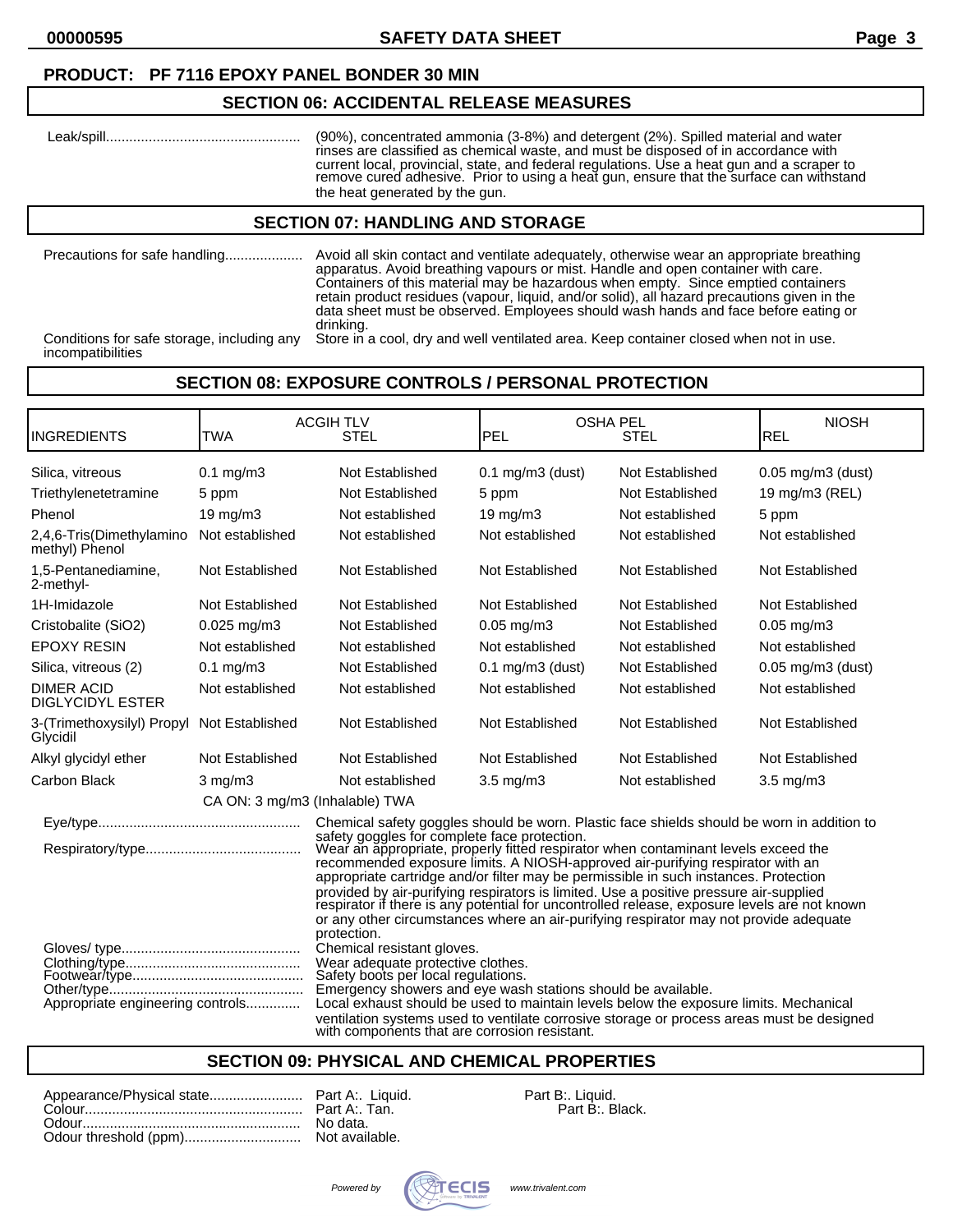**00000595 SAFETY DATA SHEET Page 3**

#### **PRODUCT: PF 7116 EPOXY PANEL BONDER 30 MIN**

#### **SECTION 06: ACCIDENTAL RELEASE MEASURES**

 Leak/spill.................................................. (90%), concentrated ammonia (3-8%) and detergent (2%). Spilled material and water rinses are classified as chemical waste, and must be disposed of in accordance with current local, provincial, state, and federal regulations. Use a heat gun and a scraper to remove cured adhesive. Prior to using a heat gun, ensure that the surface can withstand the heat generated by the gun.

#### **SECTION 07: HANDLING AND STORAGE**

Precautions for safe handling.................... Avoid all skin contact and ventilate adequately, otherwise wear an appropriate breathing apparatus. Avoid breathing vapours or mist. Handle and open container with care. Containers of this material may be hazardous when empty. Since emptied containers retain product residues (vapour, liquid, and/or solid), all hazard precautions given in the data sheet must be observed. Employees should wash hands and face before eating or drinking. Conditions for safe storage, including any Store in a cool, dry and well ventilated area. Keep container closed when not in use.

incompatibilities

# **SECTION 08: EXPOSURE CONTROLS / PERSONAL PROTECTION**

|                                                                                                                                                                                                                                                                                                                                                                                                                                                   | <b>ACGIH TLV</b>     |                                                                                                                                                                                                                                                                                                                                                                                                                                                                                                                                                                                                                | <b>OSHA PEL</b>       |                 | <b>NIOSH</b>           |
|---------------------------------------------------------------------------------------------------------------------------------------------------------------------------------------------------------------------------------------------------------------------------------------------------------------------------------------------------------------------------------------------------------------------------------------------------|----------------------|----------------------------------------------------------------------------------------------------------------------------------------------------------------------------------------------------------------------------------------------------------------------------------------------------------------------------------------------------------------------------------------------------------------------------------------------------------------------------------------------------------------------------------------------------------------------------------------------------------------|-----------------------|-----------------|------------------------|
| <b>INGREDIENTS</b>                                                                                                                                                                                                                                                                                                                                                                                                                                | TWA                  | <b>STEL</b>                                                                                                                                                                                                                                                                                                                                                                                                                                                                                                                                                                                                    | PEL                   | <b>STEL</b>     | IREL                   |
| Silica, vitreous                                                                                                                                                                                                                                                                                                                                                                                                                                  | $0.1 \text{ mg/m}$ 3 | Not Established                                                                                                                                                                                                                                                                                                                                                                                                                                                                                                                                                                                                | $0.1$ mg/m $3$ (dust) | Not Established | $0.05$ mg/m $3$ (dust) |
| Triethylenetetramine                                                                                                                                                                                                                                                                                                                                                                                                                              | 5 ppm                | Not Established                                                                                                                                                                                                                                                                                                                                                                                                                                                                                                                                                                                                | 5 ppm                 | Not Established | 19 mg/m3 (REL)         |
| Phenol                                                                                                                                                                                                                                                                                                                                                                                                                                            | $19 \text{ mg/m}$    | Not established                                                                                                                                                                                                                                                                                                                                                                                                                                                                                                                                                                                                | $19 \text{ mg/m}$     | Not established | 5 ppm                  |
| 2,4,6-Tris(Dimethylamino<br>methyl) Phenol                                                                                                                                                                                                                                                                                                                                                                                                        | Not established      | Not established                                                                                                                                                                                                                                                                                                                                                                                                                                                                                                                                                                                                | Not established       | Not established | Not established        |
| 1,5-Pentanediamine,<br>2-methyl-                                                                                                                                                                                                                                                                                                                                                                                                                  | Not Established      | Not Established                                                                                                                                                                                                                                                                                                                                                                                                                                                                                                                                                                                                | Not Established       | Not Established | Not Established        |
| 1H-Imidazole                                                                                                                                                                                                                                                                                                                                                                                                                                      | Not Established      | Not Established                                                                                                                                                                                                                                                                                                                                                                                                                                                                                                                                                                                                | Not Established       | Not Established | Not Established        |
| Cristobalite (SiO2)                                                                                                                                                                                                                                                                                                                                                                                                                               | $0.025$ mg/m3        | Not Established                                                                                                                                                                                                                                                                                                                                                                                                                                                                                                                                                                                                | $0.05$ mg/m $3$       | Not Established | $0.05$ mg/m $3$        |
| <b>EPOXY RESIN</b>                                                                                                                                                                                                                                                                                                                                                                                                                                | Not established      | Not established                                                                                                                                                                                                                                                                                                                                                                                                                                                                                                                                                                                                | Not established       | Not established | Not established        |
| Silica, vitreous (2)                                                                                                                                                                                                                                                                                                                                                                                                                              | $0.1$ mg/m $3$       | Not Established                                                                                                                                                                                                                                                                                                                                                                                                                                                                                                                                                                                                | $0.1$ mg/m $3$ (dust) | Not Established | $0.05$ mg/m $3$ (dust) |
| <b>DIMER ACID</b><br><b>DIGLYCIDYL ESTER</b>                                                                                                                                                                                                                                                                                                                                                                                                      | Not established      | Not established                                                                                                                                                                                                                                                                                                                                                                                                                                                                                                                                                                                                | Not established       | Not established | Not established        |
| 3-(Trimethoxysilyl) Propyl<br>Glycidil                                                                                                                                                                                                                                                                                                                                                                                                            | Not Established      | Not Established                                                                                                                                                                                                                                                                                                                                                                                                                                                                                                                                                                                                | Not Established       | Not Established | Not Established        |
| Alkyl glycidyl ether                                                                                                                                                                                                                                                                                                                                                                                                                              | Not Established      | Not Established                                                                                                                                                                                                                                                                                                                                                                                                                                                                                                                                                                                                | Not Established       | Not Established | Not Established        |
| <b>Carbon Black</b>                                                                                                                                                                                                                                                                                                                                                                                                                               | $3$ mg/m $3$         | Not established                                                                                                                                                                                                                                                                                                                                                                                                                                                                                                                                                                                                | $3.5 \text{ mg/m}$    | Not established | 3.5 mg/m3              |
| CA ON: 3 mg/m3 (Inhalable) TWA                                                                                                                                                                                                                                                                                                                                                                                                                    |                      |                                                                                                                                                                                                                                                                                                                                                                                                                                                                                                                                                                                                                |                       |                 |                        |
| Chemical safety goggles should be worn. Plastic face shields should be worn in addition to                                                                                                                                                                                                                                                                                                                                                        |                      |                                                                                                                                                                                                                                                                                                                                                                                                                                                                                                                                                                                                                |                       |                 |                        |
|                                                                                                                                                                                                                                                                                                                                                                                                                                                   |                      | safety goggles for complete face protection.<br>Wear an appropriate, properly fitted respirator when contaminant levels exceed the<br>recommended exposure limits. A NIOSH-approved air-purifying respirator with an<br>appropriate cartridge and/or filter may be permissible in such instances. Protection<br>provided by air-purifying respirators is limited. Use a positive pressure air-supplied<br>respirator if there is any potential for uncontrolled release, exposure levels are not known<br>or any other circumstances where an air-purifying respirator may not provide adequate<br>protection. |                       |                 |                        |
| Chemical resistant gloves.<br>Wear adequate protective clothes.<br>Safety boots per local regulations.<br>Emergency showers and eye wash stations should be available.<br>Local exhaust should be used to maintain levels below the exposure limits. Mechanical<br>Appropriate engineering controls<br>ventilation systems used to ventilate corrosive storage or process areas must be designed<br>with components that are corrosion resistant. |                      |                                                                                                                                                                                                                                                                                                                                                                                                                                                                                                                                                                                                                |                       |                 |                        |

# **SECTION 09: PHYSICAL AND CHEMICAL PROPERTIES**

|  | Part B:. Liquid. |
|--|------------------|
|  | Part B:. Black.  |
|  |                  |
|  |                  |

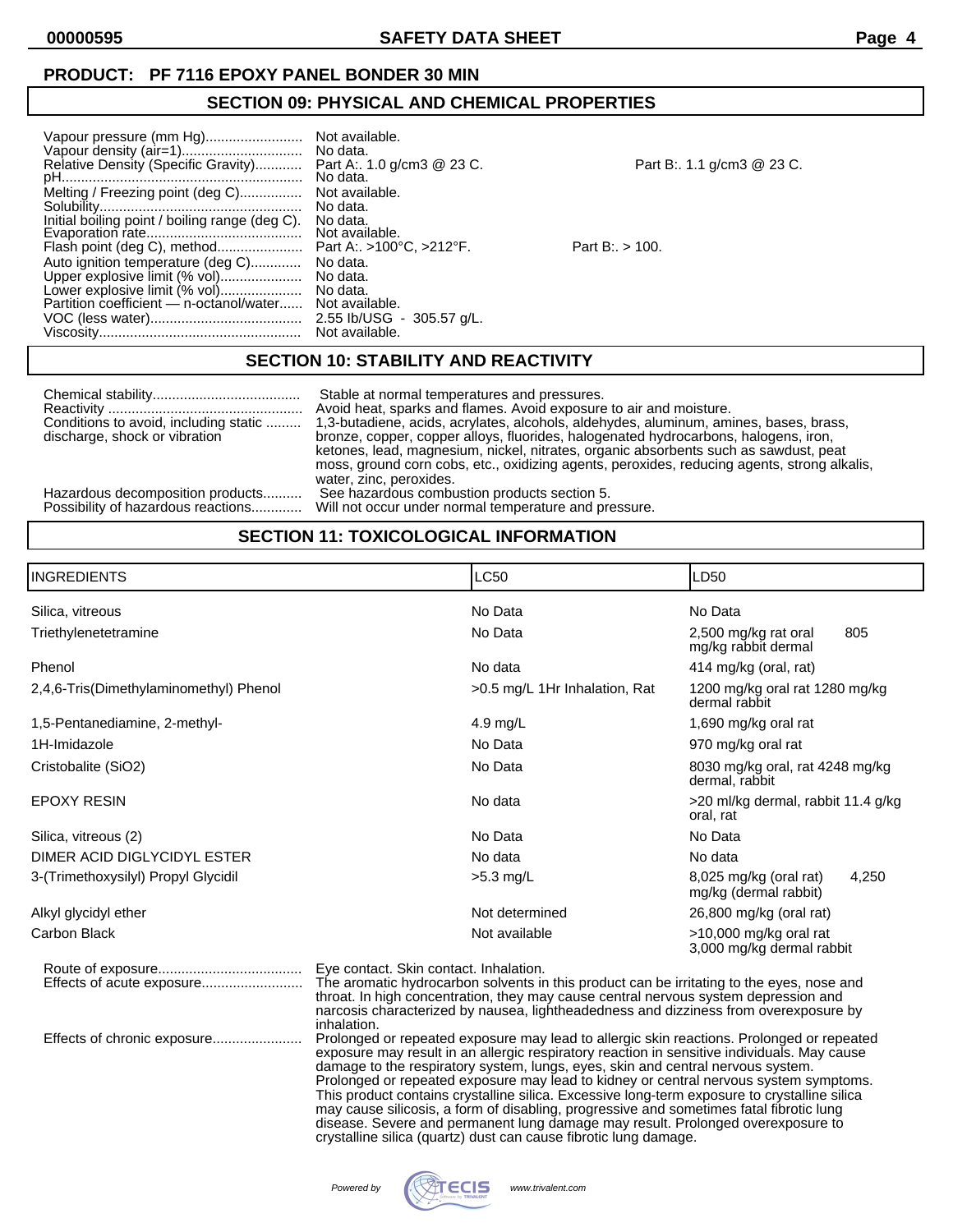#### **PRODUCT: PF 7116 EPOXY PANEL BONDER 30 MIN**

### **SECTION 09: PHYSICAL AND CHEMICAL PROPERTIES**

| Vapour pressure (mm Hg)                                                                                                                                                       | Not available.                                                                 |
|-------------------------------------------------------------------------------------------------------------------------------------------------------------------------------|--------------------------------------------------------------------------------|
|                                                                                                                                                                               | No data.                                                                       |
| Relative Density (Specific Gravity)                                                                                                                                           | Part A:. 1.0 g/cm3 @ 23 C.                                                     |
|                                                                                                                                                                               | No data.                                                                       |
| Melting / Freezing point (deg C)                                                                                                                                              | Not available.                                                                 |
|                                                                                                                                                                               | No data.                                                                       |
| Initial boiling point / boiling range (deg C).                                                                                                                                | No data.                                                                       |
|                                                                                                                                                                               | Not available.                                                                 |
| Flash point (deg C), method<br>Auto ignition temperature (deg C)<br>Upper explosive limit (% vol)<br>Lower explosive limit (% vol)<br>Partition coefficient — n-octanol/water | Part A:. >100°C, >212°F.<br>No data.<br>No data.<br>No data.<br>Not available. |
|                                                                                                                                                                               | 2.55 lb/USG - 305.57 g/L.                                                      |
|                                                                                                                                                                               | Not available.                                                                 |

| Not available.                         |
|----------------------------------------|
| No data.                               |
| Part A:. 1.0 g/cm3 @ 23 C.<br>No data. |
|                                        |
| Not available.                         |
| No data.                               |
| No data.                               |
| Not available.                         |
| Part A:. >100°C, >212°F.               |
| No data.                               |
| No data.                               |
| No data.                               |
| Not available.                         |
| 2.55 lb/USG - 305.57 g/L.              |
| Not available.                         |
|                                        |

Part B:. 1.1 g/cm3 @ 23 C.

 $Part B.: > 100.$ 

# **SECTION 10: STABILITY AND REACTIVITY**

**SECTION 11: TOXICOLOGICAL INFORMATION**

| Conditions to avoid, including static<br>discharge, shock or vibration | Stable at normal temperatures and pressures.<br>Avoid heat, sparks and flames. Avoid exposure to air and moisture.<br>1,3-butadiene, acids, acrylates, alcohols, aldehydes, aluminum, amines, bases, brass,<br>bronze, copper, copper alloys, fluorides, halogenated hydrocarbons, halogens, iron,<br>ketones, lead, magnesium, nickel, nitrates, organic absorbents such as sawdust, peat<br>moss, ground corn cobs, etc., oxidizing agents, peroxides, reducing agents, strong alkalis,<br>water, zinc, peroxides. |
|------------------------------------------------------------------------|----------------------------------------------------------------------------------------------------------------------------------------------------------------------------------------------------------------------------------------------------------------------------------------------------------------------------------------------------------------------------------------------------------------------------------------------------------------------------------------------------------------------|
| Hazardous decomposition products                                       | See hazardous combustion products section 5.                                                                                                                                                                                                                                                                                                                                                                                                                                                                         |
| Possibility of hazardous reactions                                     | Will not occur under normal temperature and pressure.                                                                                                                                                                                                                                                                                                                                                                                                                                                                |

| <b>INGREDIENTS</b>                     | <b>LC50</b>                            | LD50                                                     |  |
|----------------------------------------|----------------------------------------|----------------------------------------------------------|--|
| Silica, vitreous                       | No Data                                | No Data                                                  |  |
| Triethylenetetramine                   | No Data                                | 805<br>2,500 mg/kg rat oral<br>mg/kg rabbit dermal       |  |
| Phenol                                 | No data                                | 414 mg/kg (oral, rat)                                    |  |
| 2,4,6-Tris(Dimethylaminomethyl) Phenol | >0.5 mg/L 1Hr Inhalation, Rat          | 1200 mg/kg oral rat 1280 mg/kg<br>dermal rabbit          |  |
| 1,5-Pentanediamine, 2-methyl-          | 4.9 mg/L                               | 1,690 mg/kg oral rat                                     |  |
| 1H-Imidazole                           | No Data                                | 970 mg/kg oral rat                                       |  |
| Cristobalite (SiO2)                    | No Data                                | 8030 mg/kg oral, rat 4248 mg/kg<br>dermal, rabbit        |  |
| <b>EPOXY RESIN</b>                     | No data                                | >20 ml/kg dermal, rabbit 11.4 g/kg<br>oral, rat          |  |
| Silica, vitreous (2)                   | No Data                                | No Data                                                  |  |
| DIMER ACID DIGLYCIDYL ESTER            | No data                                | No data                                                  |  |
| 3-(Trimethoxysilyl) Propyl Glycidil    | $>5.3$ mg/L                            | 8,025 mg/kg (oral rat)<br>4,250<br>mg/kg (dermal rabbit) |  |
| Alkyl glycidyl ether                   | Not determined                         | 26,800 mg/kg (oral rat)                                  |  |
| Carbon Black                           | Not available                          | >10,000 mg/kg oral rat<br>3,000 mg/kg dermal rabbit      |  |
|                                        | Eye contact. Skin contact. Inhalation. |                                                          |  |

Effects of acute exposure.......................... The aromatic hydrocarbon solvents in this product can be irritating to the eyes, nose and throat. In high concentration, they may cause central nervous system depression and narcosis characterized by nausea, lightheadedness and dizziness from overexposure by inhalation.

Effects of chronic exposure....................... Prolonged or repeated exposure may lead to allergic skin reactions. Prolonged or repeated exposure may result in an allergic respiratory reaction in sensitive individuals. May cause damage to the respiratory system, lungs, eyes, skin and central nervous system. Prolonged or repeated exposure may lead to kidney or central nervous system symptoms. This product contains crystalline silica. Excessive long-term exposure to crystalline silica may cause silicosis, a form of disabling, progressive and sometimes fatal fibrotic lung disease. Severe and permanent lung damage may result. Prolonged overexposure to crystalline silica (quartz) dust can cause fibrotic lung damage.